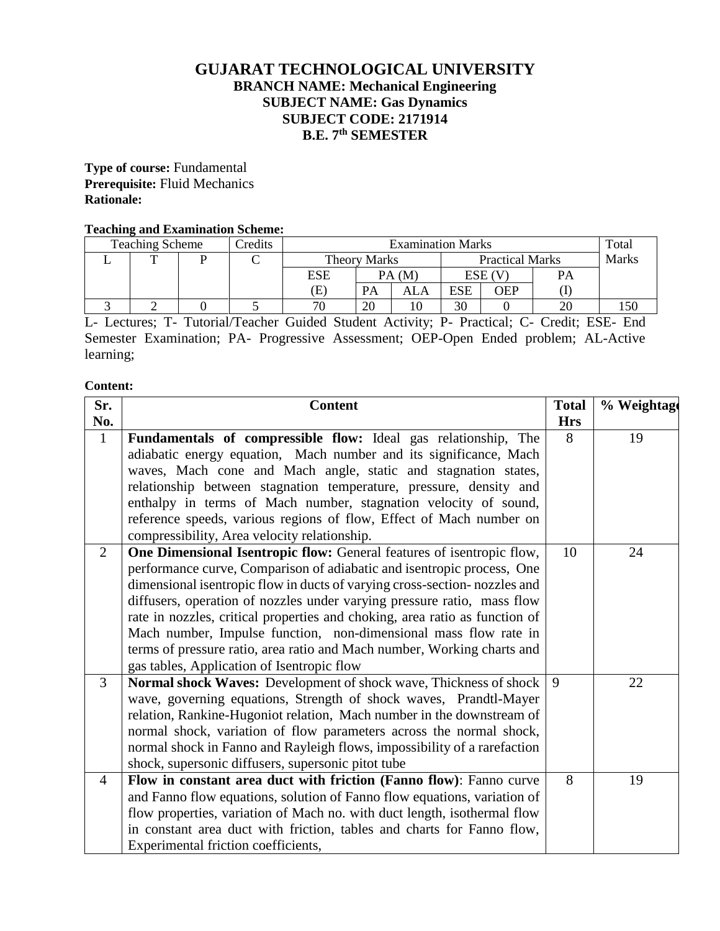# **GUJARAT TECHNOLOGICAL UNIVERSITY BRANCH NAME: Mechanical Engineering SUBJECT NAME: Gas Dynamics SUBJECT CODE: 2171914 B.E. 7 th SEMESTER**

**Type of course:** Fundamental **Prerequisite:** Fluid Mechanics **Rationale:** 

# **Teaching and Examination Scheme:**

| <b>Teaching Scheme</b><br>Credits |  |  | <b>Examination Marks</b> |                            |    |                        |     | Total  |              |  |
|-----------------------------------|--|--|--------------------------|----------------------------|----|------------------------|-----|--------|--------------|--|
|                                   |  |  |                          | <b>Theory Marks</b>        |    | <b>Practical Marks</b> |     |        | <b>Marks</b> |  |
|                                   |  |  |                          | ESE                        |    | PA(M)                  |     | ESE (V | PA           |  |
|                                   |  |  |                          | $\left( \mathrm{E}\right)$ | PA | ALA                    | ESE | OEP    |              |  |
|                                   |  |  |                          | 70                         | 20 |                        | 30  |        | 20           |  |

L- Lectures; T- Tutorial/Teacher Guided Student Activity; P- Practical; C- Credit; ESE- End Semester Examination; PA- Progressive Assessment; OEP-Open Ended problem; AL-Active learning;

## **Content:**

| Sr.            | <b>Content</b>                                                                                                                                       | <b>Total</b> | % Weightage |
|----------------|------------------------------------------------------------------------------------------------------------------------------------------------------|--------------|-------------|
| No.            |                                                                                                                                                      | <b>Hrs</b>   |             |
| $\mathbf{1}$   | Fundamentals of compressible flow: Ideal gas relationship, The                                                                                       | 8            | 19          |
|                | adiabatic energy equation, Mach number and its significance, Mach                                                                                    |              |             |
|                | waves, Mach cone and Mach angle, static and stagnation states,                                                                                       |              |             |
|                | relationship between stagnation temperature, pressure, density and                                                                                   |              |             |
|                | enthalpy in terms of Mach number, stagnation velocity of sound,                                                                                      |              |             |
|                | reference speeds, various regions of flow, Effect of Mach number on                                                                                  |              |             |
|                | compressibility, Area velocity relationship.                                                                                                         |              |             |
| $\overline{2}$ | One Dimensional Isentropic flow: General features of isentropic flow,                                                                                | 10           | 24          |
|                | performance curve, Comparison of adiabatic and isentropic process, One                                                                               |              |             |
|                | dimensional isentropic flow in ducts of varying cross-section- nozzles and                                                                           |              |             |
|                | diffusers, operation of nozzles under varying pressure ratio, mass flow                                                                              |              |             |
|                | rate in nozzles, critical properties and choking, area ratio as function of                                                                          |              |             |
|                | Mach number, Impulse function, non-dimensional mass flow rate in                                                                                     |              |             |
|                | terms of pressure ratio, area ratio and Mach number, Working charts and                                                                              |              |             |
|                | gas tables, Application of Isentropic flow                                                                                                           |              |             |
| $\overline{3}$ | Normal shock Waves: Development of shock wave, Thickness of shock                                                                                    | 9            | 22          |
|                | wave, governing equations, Strength of shock waves, Prandtl-Mayer                                                                                    |              |             |
|                | relation, Rankine-Hugoniot relation, Mach number in the downstream of                                                                                |              |             |
|                | normal shock, variation of flow parameters across the normal shock,                                                                                  |              |             |
|                | normal shock in Fanno and Rayleigh flows, impossibility of a rarefaction                                                                             |              |             |
|                | shock, supersonic diffusers, supersonic pitot tube                                                                                                   | 8            | 19          |
| $\overline{4}$ | Flow in constant area duct with friction (Fanno flow): Fanno curve                                                                                   |              |             |
|                | and Fanno flow equations, solution of Fanno flow equations, variation of<br>flow properties, variation of Mach no. with duct length, isothermal flow |              |             |
|                | in constant area duct with friction, tables and charts for Fanno flow,                                                                               |              |             |
|                | Experimental friction coefficients,                                                                                                                  |              |             |
|                |                                                                                                                                                      |              |             |